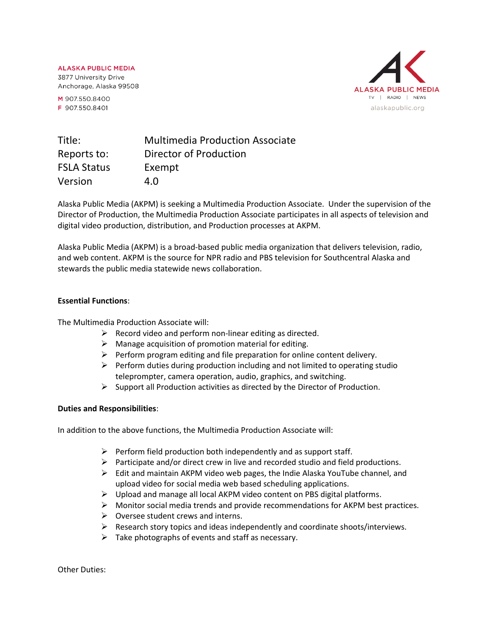**ALASKA PUBLIC MEDIA** 3877 University Drive Anchorage, Alaska 99508

M 907.550.8400 F 907.550.8401



| Title:             | <b>Multimedia Production Associate</b> |
|--------------------|----------------------------------------|
| Reports to:        | Director of Production                 |
| <b>FSLA Status</b> | Exempt                                 |
| Version            | 4.O                                    |

Alaska Public Media (AKPM) is seeking a Multimedia Production Associate. Under the supervision of the Director of Production, the Multimedia Production Associate participates in all aspects of television and digital video production, distribution, and Production processes at AKPM.

Alaska Public Media (AKPM) is a broad-based public media organization that delivers television, radio, and web content. AKPM is the source for NPR radio and PBS television for Southcentral Alaska and stewards the public media statewide news collaboration.

#### **Essential Functions**:

The Multimedia Production Associate will:

- $\triangleright$  Record video and perform non-linear editing as directed.
- $\triangleright$  Manage acquisition of promotion material for editing.
- $\triangleright$  Perform program editing and file preparation for online content delivery.
- $\triangleright$  Perform duties during production including and not limited to operating studio teleprompter, camera operation, audio, graphics, and switching.
- $\triangleright$  Support all Production activities as directed by the Director of Production.

# **Duties and Responsibilities**:

In addition to the above functions, the Multimedia Production Associate will:

- $\triangleright$  Perform field production both independently and as support staff.
- ➢ Participate and/or direct crew in live and recorded studio and field productions.
- $\triangleright$  Edit and maintain AKPM video web pages, the Indie Alaska YouTube channel, and upload video for social media web based scheduling applications.
- ➢ Upload and manage all local AKPM video content on PBS digital platforms.
- $\triangleright$  Monitor social media trends and provide recommendations for AKPM best practices.
- $\triangleright$  Oversee student crews and interns.
- $\triangleright$  Research story topics and ideas independently and coordinate shoots/interviews.
- $\triangleright$  Take photographs of events and staff as necessary.

Other Duties: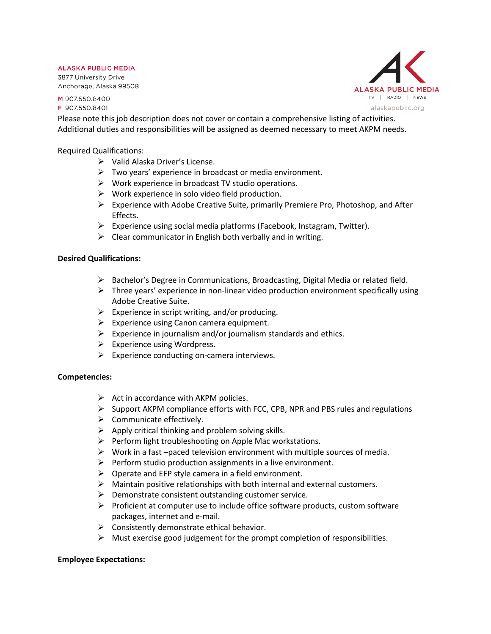#### **ALASKA PUBLIC MEDIA**

3877 University Drive Anchorage, Alaska 99508

M 907.550.8400 F 907.550.8401

**ALASKA PUBLIC MEDIA** TV | RADIO | NEWS alaskapublic.org

Please note this job description does not cover or contain a comprehensive listing of activities. Additional duties and responsibilities will be assigned as deemed necessary to meet AKPM needs.

Required Qualifications:

- ➢ Valid Alaska Driver's License.
- ➢ Two years' experience in broadcast or media environment.
- $\triangleright$  Work experience in broadcast TV studio operations.
- $\triangleright$  Work experience in solo video field production.
- $\triangleright$  Experience with Adobe Creative Suite, primarily Premiere Pro, Photoshop, and After Effects.
- ➢ Experience using social media platforms (Facebook, Instagram, Twitter).
- $\triangleright$  Clear communicator in English both verbally and in writing.

# **Desired Qualifications:**

- ➢ Bachelor's Degree in Communications, Broadcasting, Digital Media or related field.
- $\triangleright$  Three years' experience in non-linear video production environment specifically using Adobe Creative Suite.
- $\triangleright$  Experience in script writing, and/or producing.
- $\triangleright$  Experience using Canon camera equipment.
- $\triangleright$  Experience in journalism and/or journalism standards and ethics.
- $\triangleright$  Experience using Wordpress.
- $\triangleright$  Experience conducting on-camera interviews.

# **Competencies:**

- $\triangleright$  Act in accordance with AKPM policies.
- ➢ Support AKPM compliance efforts with FCC, CPB, NPR and PBS rules and regulations
- $\triangleright$  Communicate effectively.
- $\triangleright$  Apply critical thinking and problem solving skills.
- $\triangleright$  Perform light troubleshooting on Apple Mac workstations.
- $\triangleright$  Work in a fast –paced television environment with multiple sources of media.
- ➢ Perform studio production assignments in a live environment.
- $\triangleright$  Operate and EFP style camera in a field environment.
- ➢ Maintain positive relationships with both internal and external customers.
- $\triangleright$  Demonstrate consistent outstanding customer service.
- $\triangleright$  Proficient at computer use to include office software products, custom software packages, internet and e-mail.
- $\triangleright$  Consistently demonstrate ethical behavior.
- $\triangleright$  Must exercise good judgement for the prompt completion of responsibilities.

# **Employee Expectations:**